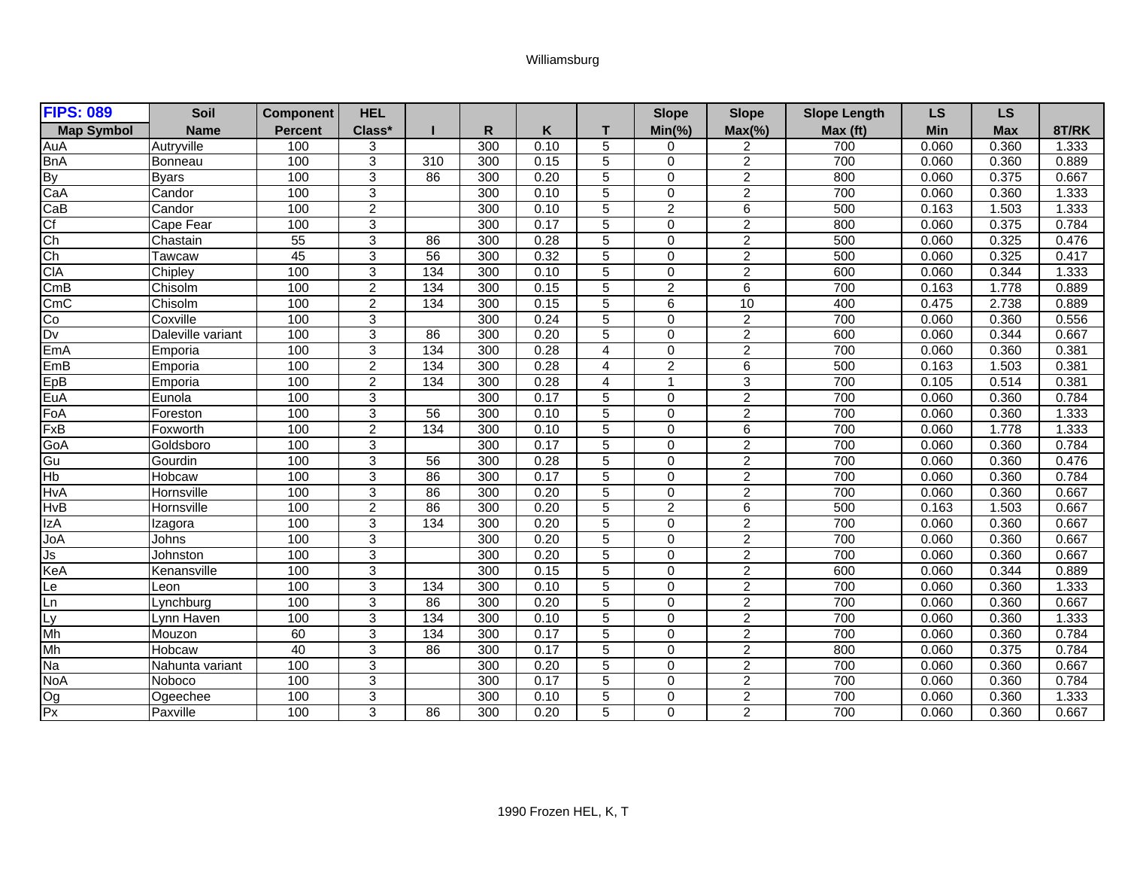## Williamsburg

| <b>FIPS: 089</b>         | Soil              | <b>Component</b> | <b>HEL</b>     |                 |     |      |                | <b>Slope</b>   | <b>Slope</b>   | <b>Slope Length</b> | <b>LS</b> | <b>LS</b>  |       |
|--------------------------|-------------------|------------------|----------------|-----------------|-----|------|----------------|----------------|----------------|---------------------|-----------|------------|-------|
| <b>Map Symbol</b>        | <b>Name</b>       | <b>Percent</b>   | Class*         |                 | R   | K    |                | $Min(\% )$     | $Max(\% )$     | Max (ft)            | Min       | <b>Max</b> | 8T/RK |
| AuA                      | Autryville        | 100              | 3              |                 | 300 | 0.10 | 5              | 0              | 2              | 700                 | 0.060     | 0.360      | 1.333 |
| <b>BnA</b>               | Bonneau           | 100              | 3              | 310             | 300 | 0.15 | 5              | $\mathbf 0$    | 2              | 700                 | 0.060     | 0.360      | 0.889 |
| <b>By</b>                | <b>Byars</b>      | 100              | 3              | 86              | 300 | 0.20 | 5              | $\mathbf 0$    | $\overline{2}$ | 800                 | 0.060     | 0.375      | 0.667 |
| CaA                      | Candor            | 100              | $\overline{3}$ |                 | 300 | 0.10 | 5              | $\mathbf 0$    | $\overline{2}$ | 700                 | 0.060     | 0.360      | 1.333 |
| CaB                      | Candor            | 100              | $\overline{2}$ |                 | 300 | 0.10 | 5              | $\overline{2}$ | 6              | 500                 | 0.163     | 1.503      | 1.333 |
| $\overline{C}$           | Cape Fear         | 100              | 3              |                 | 300 | 0.17 | 5              | $\Omega$       | $\overline{2}$ | 800                 | 0.060     | 0.375      | 0.784 |
| $\overline{\text{Ch}}$   | Chastain          | 55               | 3              | 86              | 300 | 0.28 | 5              | $\Omega$       | $\overline{2}$ | 500                 | 0.060     | 0.325      | 0.476 |
| $\overline{Ch}$          | Tawcaw            | 45               | 3              | 56              | 300 | 0.32 | 5              | $\mathbf 0$    | $\overline{2}$ | 500                 | 0.060     | 0.325      | 0.417 |
| <b>CIA</b>               | Chipley           | 100              | 3              | 134             | 300 | 0.10 | 5              | 0              | $\overline{2}$ | 600                 | 0.060     | 0.344      | 1.333 |
| CmB                      | Chisolm           | 100              | $\overline{2}$ | $\frac{1}{134}$ | 300 | 0.15 | 5              | $\overline{2}$ | $\,6\,$        | 700                 | 0.163     | 1.778      | 0.889 |
| CmC                      | Chisolm           | 100              | $\overline{2}$ | 134             | 300 | 0.15 | 5              | 6              | 10             | 400                 | 0.475     | 2.738      | 0.889 |
| $\overline{C}$           | Coxville          | 100              | 3              |                 | 300 | 0.24 | 5              | $\Omega$       | $\overline{2}$ | 700                 | 0.060     | 0.360      | 0.556 |
| $\overline{D}$           | Daleville variant | 100              | 3              | 86              | 300 | 0.20 | 5              | $\mathbf 0$    | $\overline{c}$ | 600                 | 0.060     | 0.344      | 0.667 |
| EmA                      | Emporia           | 100              | 3              | 134             | 300 | 0.28 | 4              | $\Omega$       | $\overline{2}$ | 700                 | 0.060     | 0.360      | 0.381 |
| EmB                      | Emporia           | 100              | $\overline{2}$ | 134             | 300 | 0.28 | 4              | $\overline{2}$ | 6              | 500                 | 0.163     | 1.503      | 0.381 |
| EpB                      | Emporia           | 100              | $\overline{2}$ | 134             | 300 | 0.28 | 4              | $\mathbf{1}$   | $\overline{3}$ | 700                 | 0.105     | 0.514      | 0.381 |
| EuA                      | Eunola            | 100              | 3              |                 | 300 | 0.17 | 5              | $\Omega$       | $\overline{2}$ | 700                 | 0.060     | 0.360      | 0.784 |
| FoA                      | Foreston          | 100              | 3              | 56              | 300 | 0.10 | 5              | $\Omega$       | $\overline{2}$ | 700                 | 0.060     | 0.360      | 1.333 |
| FxB                      | Foxworth          | 100              | 2              | 134             | 300 | 0.10 | 5              | 0              | 6              | 700                 | 0.060     | 1.778      | 1.333 |
| GoA                      | Goldsboro         | 100              | 3              |                 | 300 | 0.17 | 5              | 0              | $\overline{2}$ | 700                 | 0.060     | 0.360      | 0.784 |
| Gu                       | Gourdin           | 100              | 3              | 56              | 300 | 0.28 | 5              | $\mathbf 0$    | $\overline{2}$ | 700                 | 0.060     | 0.360      | 0.476 |
| $\overline{\mathsf{Hb}}$ | Hobcaw            | 100              | $\overline{3}$ | 86              | 300 | 0.17 | 5              | $\mathbf 0$    | $\overline{2}$ | 700                 | 0.060     | 0.360      | 0.784 |
| <b>HvA</b>               | Hornsville        | 100              | 3              | 86              | 300 | 0.20 | 5              | $\mathbf 0$    | $\overline{2}$ | 700                 | 0.060     | 0.360      | 0.667 |
| <b>HvB</b>               | Hornsville        | 100              | $\overline{c}$ | 86              | 300 | 0.20 | 5              | $\overline{c}$ | $\,6\,$        | 500                 | 0.163     | 1.503      | 0.667 |
| <b>IzA</b>               | Izagora           | 100              | 3              | 134             | 300 | 0.20 | 5              | $\mathbf 0$    | $\overline{2}$ | 700                 | 0.060     | 0.360      | 0.667 |
| JoA                      | Johns             | 100              | 3              |                 | 300 | 0.20 | 5              | $\mathbf 0$    | $\overline{2}$ | 700                 | 0.060     | 0.360      | 0.667 |
| Js                       | Johnston          | 100              | $\overline{3}$ |                 | 300 | 0.20 | $\overline{5}$ | $\overline{0}$ | $\overline{2}$ | 700                 | 0.060     | 0.360      | 0.667 |
| KeA                      | Kenansville       | 100              | 3              |                 | 300 | 0.15 | 5              | $\Omega$       | $\overline{2}$ | 600                 | 0.060     | 0.344      | 0.889 |
| Le                       | Leon              | 100              | 3              | 134             | 300 | 0.10 | 5              | $\Omega$       | $\overline{2}$ | 700                 | 0.060     | 0.360      | 1.333 |
| Ln                       | Lynchburg         | 100              | 3              | 86              | 300 | 0.20 | 5              | $\Omega$       | $\overline{c}$ | 700                 | 0.060     | 0.360      | 0.667 |
| Lv                       | Lynn Haven        | 100              | 3              | 134             | 300 | 0.10 | 5              | 0              | $\overline{c}$ | 700                 | 0.060     | 0.360      | 1.333 |
| Mh                       | Mouzon            | 60               | 3              | 134             | 300 | 0.17 | 5              | $\mathbf 0$    | $\overline{2}$ | 700                 | 0.060     | 0.360      | 0.784 |
| Mh                       | Hobcaw            | 40               | 3              | 86              | 300 | 0.17 | 5              | $\mathbf 0$    | $\overline{c}$ | 800                 | 0.060     | 0.375      | 0.784 |
| $\overline{Na}$          | Nahunta variant   | 100              | 3              |                 | 300 | 0.20 | 5              | $\mathbf 0$    | $\overline{2}$ | 700                 | 0.060     | 0.360      | 0.667 |
| <b>NoA</b>               | Noboco            | 100              | 3              |                 | 300 | 0.17 | 5              | 0              | $\overline{c}$ | 700                 | 0.060     | 0.360      | 0.784 |
| $\overline{Og}$          | Ogeechee          | 100              | 3              |                 | 300 | 0.10 | 5              | 0              | $\overline{2}$ | 700                 | 0.060     | 0.360      | 1.333 |
| Px                       | Paxville          | 100              | $\overline{3}$ | 86              | 300 | 0.20 | $\overline{5}$ | $\overline{0}$ | $\overline{2}$ | 700                 | 0.060     | 0.360      | 0.667 |